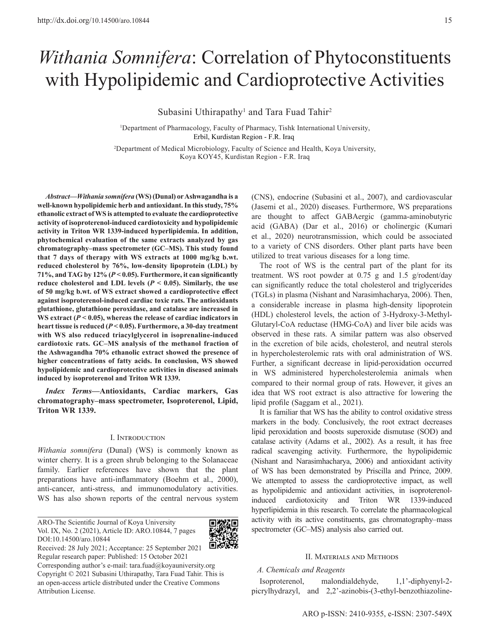# *Withania Somnifera*: Correlation of Phytoconstituents with Hypolipidemic and Cardioprotective Activities

Subasini Uthirapathy<sup>1</sup> and Tara Fuad Tahir<sup>2</sup>

<sup>1</sup>Department of Pharmacology, Faculty of Pharmacy, Tishk International University, Erbil, Kurdistan Region - F.R. Iraq

2 Department of Medical Microbiology, Faculty of Science and Health, Koya University, Koya KOY45, Kurdistan Region - F.R. Iraq

*Abstract***—***Withania somnifera* **(WS) (Dunal) or Ashwagandha is a well-known hypolipidemic herb and antioxidant. In this study, 75% ethanolic extract of WS is attempted to evaluate the cardioprotective activity of isoproterenol-induced cardiotoxicity and hypolipidemic activity in Triton WR 1339-induced hyperlipidemia. In addition, phytochemical evaluation of the same extracts analyzed by gas chromatography–mass spectrometer (GC–MS). This study found that 7 days of therapy with WS extracts at 1000 mg/kg b.wt. reduced cholesterol by 76%, low-density lipoprotein (LDL) by 71%, and TAG by 12% (***P* **< 0.05). Furthermore, it can significantly**  reduce cholesterol and LDL levels ( $P$  < 0.05). Similarly, the use **of 50 mg/kg b.wt. of WS extract showed a cardioprotective effect against isoproterenol-induced cardiac toxic rats. The antioxidants glutathione, glutathione peroxidase, and catalase are increased in**  WS extract ( $P < 0.05$ ), whereas the release of cardiac indicators in **heart tissue is reduced (***P* **< 0.05). Furthermore, a 30-day treatment with WS also reduced triacylglycerol in isoprenaline-induced cardiotoxic rats. GC–MS analysis of the methanol fraction of the Ashwagandha 70% ethanolic extract showed the presence of higher concentrations of fatty acids. In conclusion, WS showed hypolipidemic and cardioprotective activities in diseased animals induced by isoproterenol and Triton WR 1339.**

*Index Terms***—Antioxidants, Cardiac markers, Gas chromatography–mass spectrometer, Isoproterenol, Lipid, Triton WR 1339.**

#### I. Introduction

*Withania somnifera* (Dunal) (WS) is commonly known as winter cherry. It is a green shrub belonging to the Solanaceae family. Earlier references have shown that the plant preparations have anti-inflammatory (Boehm et al., 2000), anti-cancer, anti-stress, and immunomodulatory activities. WS has also shown reports of the central nervous system

ARO-The Scientific Journal of Koya University Vol. IX, No. 2 (2021), Article ID: ARO.10844, 7 pages DOI:10.14500/aro.10844



Received: 28 July 2021; Acceptance: 25 September 2021 Regular research paper: Published: 15 October 2021

Corresponding author's e-mail: tara.fuad@koyauniversity.org Copyright © 2021 Subasini Uthirapathy, Tara Fuad Tahir. This is an open-access article distributed under the Creative Commons Attribution License.

(CNS), endocrine (Subasini et al., 2007), and cardiovascular (Jasemi et al., 2020) diseases. Furthermore, WS preparations are thought to affect GABAergic (gamma-aminobutyric acid (GABA) (Dar et al., 2016) or cholinergic (Kumari et al., 2020) neurotransmission, which could be associated to a variety of CNS disorders. Other plant parts have been utilized to treat various diseases for a long time.

The root of WS is the central part of the plant for its treatment. WS root powder at 0.75 g and 1.5 g/rodent/day can significantly reduce the total cholesterol and triglycerides (TGLs) in plasma (Nishant and Narasimhacharya, 2006). Then, a considerable increase in plasma high-density lipoprotein (HDL) cholesterol levels, the action of 3-Hydroxy-3-Methyl-Glutaryl-CoA reductase (HMG-CoA) and liver bile acids was observed in these rats. A similar pattern was also observed in the excretion of bile acids, cholesterol, and neutral sterols in hypercholesterolemic rats with oral administration of WS. Further, a significant decrease in lipid-peroxidation occurred in WS administered hypercholesterolemia animals when compared to their normal group of rats. However, it gives an idea that WS root extract is also attractive for lowering the lipid profile (Saggam et al., 2021).

It is familiar that WS has the ability to control oxidative stress markers in the body. Conclusively, the root extract decreases lipid peroxidation and boosts superoxide dismutase (SOD) and catalase activity (Adams et al., 2002). As a result, it has free radical scavenging activity. Furthermore, the hypolipidemic (Nishant and Narasimhacharya, 2006) and antioxidant activity of WS has been demonstrated by Priscilla and Prince, 2009. We attempted to assess the cardioprotective impact, as well as hypolipidemic and antioxidant activities, in isoproterenolinduced cardiotoxicity and Triton WR 1339-induced hyperlipidemia in this research. To correlate the pharmacological activity with its active constituents, gas chromatography–mass spectrometer (GC–MS) analysis also carried out.

#### II. Materials and Methods

### *A. Chemicals and Reagents*

Isoproterenol, malondialdehyde, 1,1'-diphyenyl-2 picrylhydrazyl, and 2,2'-azinobis-(3-ethyl-benzothiazoline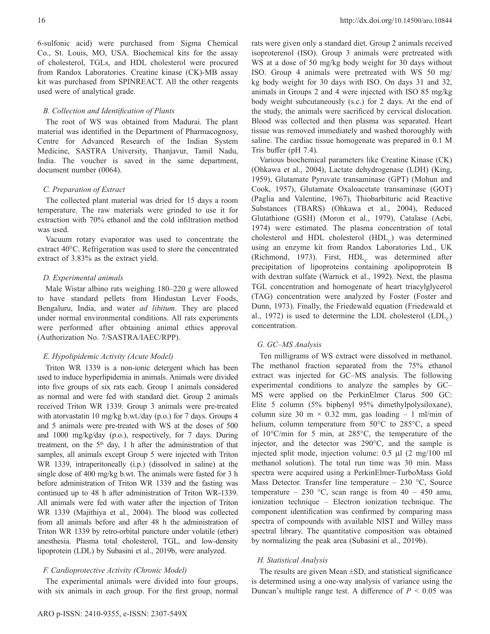6-sulfonic acid) were purchased from Sigma Chemical Co., St. Louis, MO, USA. Biochemical kits for the assay of cholesterol, TGLs, and HDL cholesterol were procured from Randox Laboratories. Creatine kinase (CK)-MB assay kit was purchased from SPINREACT. All the other reagents used were of analytical grade.

#### *B. Collection and Identification of Plants*

The root of WS was obtained from Madurai. The plant material was identified in the Department of Pharmacognosy, Centre for Advanced Research of the Indian System Medicine, SASTRA University, Thanjavur, Tamil Nadu, India. The voucher is saved in the same department, document number (0064).

### *C. Preparation of Extract*

The collected plant material was dried for 15 days a room temperature. The raw materials were grinded to use it for extraction with 70% ethanol and the cold infiltration method was used.

Vacuum rotary evaporator was used to concentrate the extract 40°C. Refrigeration was used to store the concentrated extract of 3.83% as the extract yield.

### *D. Experimental animals*

Male Wistar albino rats weighing 180–220 g were allowed to have standard pellets from Hindustan Lever Foods, Bengaluru, India, and water *ad libitum*. They are placed under normal environmental conditions. All rats experiments were performed after obtaining animal ethics approval (Authorization No. 7/SASTRA/IAEC/RPP).

## *E. Hypolipidemic Activity (Acute Model)*

Triton WR 1339 is a non-ionic detergent which has been used to induce hyperlipidemia in animals. Animals were divided into five groups of six rats each. Group 1 animals considered as normal and were fed with standard diet. Group 2 animals received Triton WR 1339. Group 3 animals were pre-treated with atorvastatin 10 mg/kg b.wt./day (p.o.) for 7 days. Groups 4 and 5 animals were pre-treated with WS at the doses of 500 and 1000 mg/kg/day (p.o.), respectively, for 7 days. During treatment, on the  $5<sup>th</sup>$  day, 1 h after the administration of that samples, all animals except Group 5 were injected with Triton WR 1339, intraperitoneally (i.p.) (dissolved in saline) at the single dose of 400 mg/kg b.wt. The animals were fasted for 3 h before administration of Triton WR 1339 and the fasting was continued up to 48 h after administration of Triton WR-1339. All animals were fed with water after the injection of Triton WR 1339 (Majithiya et al., 2004). The blood was collected from all animals before and after 48 h the administration of Triton WR 1339 by retro-orbital puncture under volatile (ether) anesthesia. Plasma total cholesterol, TGL, and low-density lipoprotein (LDL) by Subasini et al., 2019b, were analyzed.

## *F. Cardioprotective Activity (Chronic Model)*

The experimental animals were divided into four groups, with six animals in each group. For the first group, normal rats were given only a standard diet. Group 2 animals received isoproterenol (ISO). Group 3 animals were pretreated with WS at a dose of 50 mg/kg body weight for 30 days without ISO. Group 4 animals were pretreated with WS 50 mg/ kg body weight for 30 days with ISO. On days 31 and 32, animals in Groups 2 and 4 were injected with ISO 85 mg/kg body weight subcutaneously (s.c.) for 2 days. At the end of the study, the animals were sacrificed by cervical dislocation. Blood was collected and then plasma was separated. Heart tissue was removed immediately and washed thoroughly with saline. The cardiac tissue homogenate was prepared in 0.1 M Tris buffer (pH 7.4).

Various biochemical parameters like Creatine Kinase (CK) (Ohkawa et al., 2004), Lactate dehydrogenase (LDH) (King, 1959), Glutamate Pyruvate transaminase (GPT) (Mohun and Cook, 1957), Glutamate Oxaloacetate transaminase (GOT) (Paglia and Valentine, 1967), Thiobarbituric acid Reactive Substances (TBARS) (Ohkawa et al., 2004), Reduced Glutathione (GSH) (Moron et al., 1979), Catalase (Aebi, 1974) were estimated. The plasma concentration of total cholesterol and HDL cholesterol  $(HDL<sub>c</sub>)$  was determined using an enzyme kit from Randox Laboratories Ltd., UK (Richmond, 1973). First,  $HDL<sub>c</sub>$  was determined after precipitation of lipoproteins containing apolipoprotein B with dextran sulfate (Warnick et al., 1992). Next, the plasma TGL concentration and homogenate of heart triacylglycerol (TAG) concentration were analyzed by Foster (Foster and Dunn, 1973). Finally, the Friedewald equation (Friedewald et al., 1972) is used to determine the LDL cholesterol  $(LDL<sub>c</sub>)$ concentration.

#### *G. GC–MS Analysis*

Ten milligrams of WS extract were dissolved in methanol. The methanol fraction separated from the 75% ethanol extract was injected for GC–MS analysis. The following experimental conditions to analyze the samples by GC– MS were applied on the PerkinElmer Clarus 500 GC: Elite 5 column (5% biphenyl 95% dimethylpolysiloxane), column size 30 m  $\times$  0.32 mm, gas loading - 1 ml/min of helium, column temperature from 50°C to 285°C, a speed of 10°C/min for 5 min, at 285°C, the temperature of the injector, and the detector was 290°C, and the sample is injected split mode, injection volume: 0.5 µl (2 mg/100 ml methanol solution). The total run time was 30 min. Mass spectra were acquired using a PerkinElmer-TurboMass Gold Mass Detector. Transfer line temperature  $-230$  °C, Source temperature – 230 °C, scan range is from  $40 - 450$  amu, ionization technique – Electron ionization technique. The component identification was confirmed by comparing mass spectra of compounds with available NIST and Willey mass spectral library. The quantitative composition was obtained by normalizing the peak area (Subasini et al., 2019b).

#### *H. Statistical Analysis*

The results are given Mean  $\pm$ SD, and statistical significance is determined using a one-way analysis of variance using the Duncan's multiple range test. A difference of  $P < 0.05$  was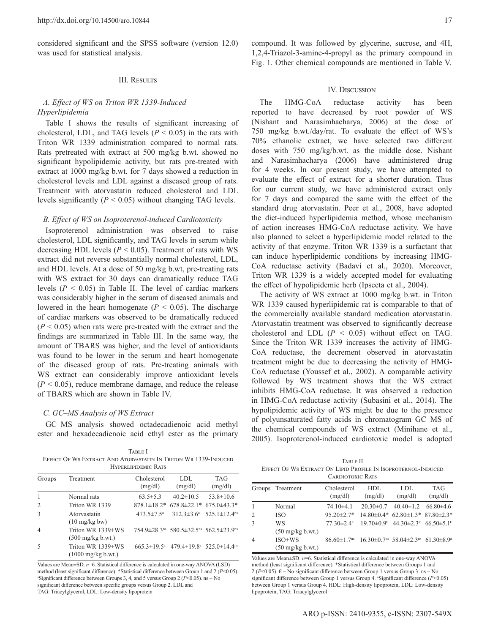considered significant and the SPSS software (version 12.0) was used for statistical analysis.

#### III. Results

## *A. Effect of WS on Triton WR 1339-Induced Hyperlipidemia*

Table I shows the results of significant increasing of cholesterol, LDL, and TAG levels  $(P < 0.05)$  in the rats with Triton WR 1339 administration compared to normal rats. Rats pretreated with extract at 500 mg/kg b.wt. showed no significant hypolipidemic activity, but rats pre-treated with extract at 1000 mg/kg b.wt. for 7 days showed a reduction in cholesterol levels and LDL against a diseased group of rats. Treatment with atorvastatin reduced cholesterol and LDL levels significantly  $(P < 0.05)$  without changing TAG levels.

#### *B. Effect of WS on Isoproterenol-induced Cardiotoxicity*

Isoproterenol administration was observed to raise cholesterol, LDL significantly, and TAG levels in serum while decreasing HDL levels  $(P < 0.05)$ . Treatment of rats with WS extract did not reverse substantially normal cholesterol, LDL, and HDL levels. At a dose of 50 mg/kg b.wt, pre-treating rats with WS extract for 30 days can dramatically reduce TAG levels  $(P < 0.05)$  in Table II. The level of cardiac markers was considerably higher in the serum of diseased animals and lowered in the heart homogenate  $(P < 0.05)$ . The discharge of cardiac markers was observed to be dramatically reduced  $(P < 0.05)$  when rats were pre-treated with the extract and the findings are summarized in Table III. In the same way, the amount of TBARS was higher, and the level of antioxidants was found to be lower in the serum and heart homogenate of the diseased group of rats. Pre-treating animals with WS extract can considerably improve antioxidant levels  $(P < 0.05)$ , reduce membrane damage, and reduce the release of TBARS which are shown in Table IV.

#### *C. GC–MS Analysis of WS Extract*

GC–MS analysis showed octadecadienoic acid methyl ester and hexadecadienoic acid ethyl ester as the primary

Table I Effect Of Ws Extract And Atorvastatin In Triton Wr 1339-Induced Hyperlipidemic Rats

| Groups         | Treatment                                         | Cholesterol<br>(mg/dl)  | LDL.<br>(mg/dl)                                                                      | <b>TAG</b><br>(mg/dl)                                   |
|----------------|---------------------------------------------------|-------------------------|--------------------------------------------------------------------------------------|---------------------------------------------------------|
| 1              | Normal rats                                       | $63.5 \pm 5.3$          | $40.2 \pm 10.5$                                                                      | $53.8 \pm 10.6$                                         |
| 2              | Triton WR 1339                                    | $878.1 \pm 18.2^*$      |                                                                                      | $678.8 \pm 22.1* 675.0 \pm 43.3*$                       |
| 3              | Atorvastatin<br>$(10 \text{ mg/kg bw})$           | $473.5 \pm 7.5^{\circ}$ |                                                                                      | $312.3 \pm 3.6^{\text{a}}$ $525.1 \pm 12.4^{\text{ns}}$ |
| $\overline{4}$ | Triton WR 1339+WS<br>$(500 \text{ mg/kg b.wt.})$  |                         | 754.9±28.3ns 580.5±32.5ns 562.5±23.9ns                                               |                                                         |
| 5              | Triton WR 1339+WS<br>$(1000 \text{ mg/kg b.wt.})$ |                         | $665.3 \pm 19.5^{\text{a}}$ $479.4 \pm 19.8^{\text{a}}$ $525.0 \pm 14.4^{\text{ns}}$ |                                                         |

Values are Mean±SD. *n*=6. Statistical difference is calculated in one-way ANOVA (LSD) method (least significant difference). \*Statistical difference between Group 1 and 2 (P<0.05). <sup>a</sup>Significant difference between Groups 3, 4, and 5 versus Group 2 ( $P$  < 0.05). ns – No significant difference between specific groups versus Group 2. LDL and TAG: Triacylglycerol, LDL: Low-density lipoprotein

compound. It was followed by glycerine, sucrose, and 4H, 1,2,4-Triazol-3-amine-4-propyl as the primary compound in Fig. 1. Other chemical compounds are mentioned in Table V.

#### IV. Discussion

The HMG-CoA reductase activity has been reported to have decreased by root powder of WS (Nishant and Narasimhacharya, 2006) at the dose of 750 mg/kg b.wt./day/rat. To evaluate the effect of WS's 70% ethanolic extract, we have selected two different doses with 750 mg/kg/b.wt. as the middle dose. Nishant and Narasimhacharya (2006) have administered drug for 4 weeks. In our present study, we have attempted to evaluate the effect of extract for a shorter duration. Thus for our current study, we have administered extract only for 7 days and compared the same with the effect of the standard drug atorvastatin. Peer et al., 2008, have adopted the diet-induced hyperlipidemia method, whose mechanism of action increases HMG-CoA reductase activity. We have also planned to select a hyperlipidemic model related to the activity of that enzyme. Triton WR 1339 is a surfactant that can induce hyperlipidemic conditions by increasing HMG-CoA reductase activity (Badavi et al., 2020). Moreover, Triton WR 1339 is a widely accepted model for evaluating the effect of hypolipidemic herb (Ipseeta et al., 2004).

The activity of WS extract at 1000 mg/kg b.wt. in Triton WR 1339 caused hyperlipidemic rat is comparable to that of the commercially available standard medication atorvastatin. Atorvastatin treatment was observed to significantly decrease cholesterol and LDL  $(P < 0.05)$  without effect on TAG. Since the Triton WR 1339 increases the activity of HMG-CoA reductase, the decrement observed in atorvastatin treatment might be due to decreasing the activity of HMG-CoA reductase (Youssef et al., 2002). A comparable activity followed by WS treatment shows that the WS extract inhibits HMG-CoA reductase. It was observed a reduction in HMG-CoA reductase activity (Subasini et al., 2014). The hypolipidemic activity of WS might be due to the presence of polyunsaturated fatty acids in chromatogram GC–MS of the chemical compounds of WS extract (Minihane et al., 2005). Isoproterenol-induced cardiotoxic model is adopted

TABLE II Effect Of Ws Extract On Lipid Profile In Isoproternol-Induced CARDIOTOXIC RATS

|   | Groups Treatment                       | Cholesterol<br>(mg/dl)                           | HDL<br>(mg/dl)                                                                                                         | LDL<br>(mg/dl)                                                                   | <b>TAG</b><br>(mg/dl) |
|---|----------------------------------------|--------------------------------------------------|------------------------------------------------------------------------------------------------------------------------|----------------------------------------------------------------------------------|-----------------------|
| 1 | Normal                                 | $74.10\pm4.1$                                    | $20.30 \pm 0.7$                                                                                                        | $40.40 \pm 1.2$                                                                  | 66.80±4.6             |
| 2 | <b>ISO</b>                             | $95.20 \pm 2.7*$                                 |                                                                                                                        | $14.80\pm0.4*$ 62.80 $\pm1.3*$ 87.80 $\pm2.3*$                                   |                       |
| 3 | WS<br>$(50 \text{ mg/kg b.wt.})$       | $77.30 \pm 2.4$ <sup><math>\epsilon</math></sup> |                                                                                                                        | $19.70 \pm 0.9^{\epsilon}$ 44.30 $\pm 2.3^{\epsilon}$ 66.50 $\pm 5.1^{\epsilon}$ |                       |
| 4 | $ISO+WS$<br>$(50 \text{ mg/kg b.wt.})$ |                                                  | $86.60 \pm 1.7$ <sup>ns</sup> $16.30 \pm 0.7$ <sup>ns</sup> $58.04 \pm 2.3$ <sup>ns</sup> $61.30 \pm 8.9$ <sup>a</sup> |                                                                                  |                       |

Values are Mean±SD. *n*=6. Statistical difference is calculated in one‑way ANOVA method (least significant difference). \*Statistical difference between Groups 1 and 2 ( $P$ <0.05).  $\epsilon$  – No significant difference between Group 1 versus Group 3. ns – No significant difference between Group 1 versus Group 4. <sup>a</sup>Significant difference (*P*<0.05) between Group 1 versus Group 4. HDL: High-density lipoprotein, LDL: Low-density lipoprotein, TAG: Triacylglycerol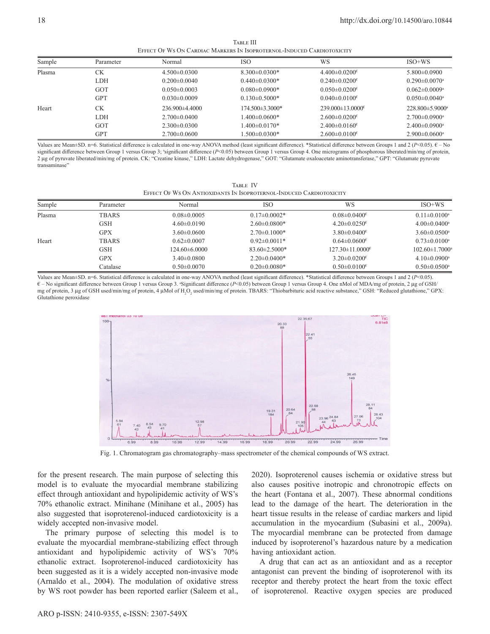**TABLE III** Effect Of Ws On Cardiac Markers In Isoproternol-Induced Cardiotoxicity

| Sample | Parameter  | Normal             | <b>ISO</b>           | WS                                                  | $ISO+WS$                        |
|--------|------------|--------------------|----------------------|-----------------------------------------------------|---------------------------------|
| Plasma | СK         | $4.500 \pm 0.0300$ | $8.300 \pm 0.0300*$  | $4.400 \pm 0.0200$ <sup><math>\epsilon</math></sup> | $5.800\pm0.0900$                |
|        | LDH        | $0.200 \pm 0.0040$ | $0.440\pm0.0300*$    | $0.240 \pm 0.0200$ <sup><math>\epsilon</math></sup> | $0.290 \pm 0.0070$ <sup>a</sup> |
|        | GOT        | $0.050 \pm 0.0003$ | $0.080 \pm 0.0900$ * | $0.050 \pm 0.0200$ <sup><math>\epsilon</math></sup> | $0.062 \pm 0.0009$ <sup>a</sup> |
|        | <b>GPT</b> | $0.030 \pm 0.0009$ | $0.130\pm0.5000*$    | $0.040 \pm 0.0100$ <sup><math>\epsilon</math></sup> | $0.050 \pm 0.0040$ <sup>a</sup> |
| Heart  | СK         | $236.900\pm4.4000$ | $174.500\pm3.3000*$  | $239.000\pm13.0000$ <sup>e</sup>                    | $228.800\pm5.9000$ <sup>a</sup> |
|        | <b>LDH</b> | $2.700 \pm 0.0400$ | $1.400 \pm 0.0600*$  | $2.600 \pm 0.0200$ <sup><math>\epsilon</math></sup> | $2.700 \pm 0.0900$ <sup>a</sup> |
|        | GOT        | $2.300\pm0.0300$   | $1.400 \pm 0.0170*$  | $2.400 \pm 0.0160^{\epsilon}$                       | $2.400 \pm 0.0900$ <sup>a</sup> |
|        | <b>GPT</b> | $2.700 \pm 0.0600$ | $1.500 \pm 0.0300*$  | $2.600 \pm 0.0100^{\epsilon}$                       | $2.900 \pm 0.0600$ <sup>a</sup> |

Values are Mean±SD. n=6. Statistical difference is calculated in one‑way ANOVA method (least significant difference). \*Statistical difference between Groups 1 and 2 (*P*<0.05). € – No significant difference between Group 1 versus Group 3; "significant difference (*P<*0.05) between Group 1 versus Group 4. One micrograms of phosphorous liberated/min/mg of protein, 2 µg of pyruvate liberated/min/mg of protein. CK: "Creatine kinase," LDH: Lactate dehydrogenase," GOT: "Glutamate oxaloacetate aminotransferase," GPT: "Glutamate pyruvate transaminase"

| TARLE IV                                                            |  |
|---------------------------------------------------------------------|--|
| Effect Of Ws On Antioxidants In Isoproternol-Induced Cardiotoxicity |  |

| Sample | Parameter    | Normal             | <b>ISO</b>          | WS                                                    | $ISO+WS$                         |
|--------|--------------|--------------------|---------------------|-------------------------------------------------------|----------------------------------|
| Plasma | <b>TBARS</b> | $0.08 \pm 0.0005$  | $0.17\pm0.0002*$    | $0.08 \pm 0.0400$ <sup>e</sup>                        | $0.11 \pm 0.0100^a$              |
|        | <b>GSH</b>   | $4.60 \pm 0.0190$  | $2.60\pm0.0800*$    | $4.20 \pm 0.0250$ <sup>e</sup>                        | $4.00 \pm 0.0400^a$              |
|        | <b>GPX</b>   | $3.60\pm0.0600$    | $2.70 \pm 0.1000*$  | $3.80 \pm 0.0400$ <sup><math>\epsilon</math></sup>    | $3.60 \pm 0.0500^{\circ}$        |
| Heart  | <b>TBARS</b> | $0.62\pm0.0007$    | $0.92 \pm 0.0011*$  | $0.64 \pm 0.0600$ <sup><math>\epsilon</math></sup>    | $0.73 \pm 0.0100^{\circ}$        |
|        | <b>GSH</b>   | $124.60\pm 6.0000$ | $83.60 \pm 2.5000*$ | $127.30 \pm 11.0000$ <sup><math>\epsilon</math></sup> | $102.60 \pm 1.7000$ <sup>a</sup> |
|        | <b>GPX</b>   | $3.40 \pm 0.0800$  | $2.20\pm0.0400*$    | $3.20 \pm 0.0200$ <sup><math>\epsilon</math></sup>    | $4.10\pm0.0900^{\circ}$          |
|        | Catalase     | $0.50 \pm 0.0070$  | $0.20 \pm 0.0080*$  | $0.50 \pm 0.0100$ <sup><math>\epsilon</math></sup>    | $0.50 \pm 0.0500$ <sup>a</sup>   |

Values are Mean±SD. n=6. Statistical difference is calculated in one-way ANOVA method (least significant difference). \*Statistical difference between Groups 1 and 2 (*P<*0.05). € – No significant difference between Group 1 versus Group 3. <sup>a</sup> Significant difference (*P*<0.05) between Group 1 versus Group 4. One nMol of MDA/mg of protein, 2 μg of GSH/ mg of protein, 3 μg of GSH used/min/mg of protein, 4 μMol of H<sub>2</sub>O<sub>2</sub> used/min/mg of protein. TBARS: "Thiobarbituric acid reactive substance," GSH: "Reduced glutathione," GPX: Glutathione peroxidase



Fig. 1. Chromatogram gas chromatography–mass spectrometer of the chemical compounds of WS extract.

for the present research. The main purpose of selecting this model is to evaluate the myocardial membrane stabilizing effect through antioxidant and hypolipidemic activity of WS's 70% ethanolic extract. Minihane (Minihane et al., 2005) has also suggested that isoproterenol-induced cardiotoxicity is a widely accepted non-invasive model.

The primary purpose of selecting this model is to evaluate the myocardial membrane-stabilizing effect through antioxidant and hypolipidemic activity of WS's 70% ethanolic extract. Isoproterenol-induced cardiotoxicity has been suggested as it is a widely accepted non-invasive mode (Arnaldo et al., 2004). The modulation of oxidative stress by WS root powder has been reported earlier (Saleem et al.,

2020). Isoproterenol causes ischemia or oxidative stress but also causes positive inotropic and chronotropic effects on the heart (Fontana et al., 2007). These abnormal conditions lead to the damage of the heart. The deterioration in the heart tissue results in the release of cardiac markers and lipid accumulation in the myocardium (Subasini et al., 2009a). The myocardial membrane can be protected from damage induced by isoproterenol's hazardous nature by a medication having antioxidant action.

A drug that can act as an antioxidant and as a receptor antagonist can prevent the binding of isoproterenol with its receptor and thereby protect the heart from the toxic effect of isoproterenol. Reactive oxygen species are produced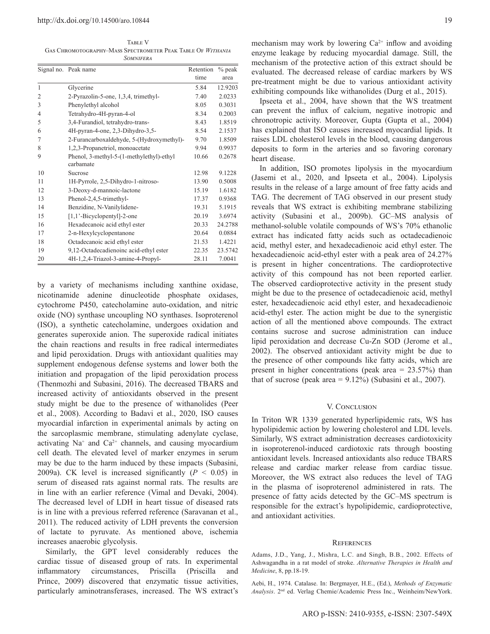TABLE V Gas Chromotography–Mass Spectrometer Peak Table Of *Withania Somnifera*

|                | Signal no. Peak name                      | Retention | $%$ peak |
|----------------|-------------------------------------------|-----------|----------|
|                |                                           | time      | area     |
| $\mathbf{1}$   | Glycerine                                 | 5.84      | 12.9203  |
| $\overline{2}$ | 2-Pyrazolin-5-one, 1,3,4, trimethyl-      | 7.40      | 2.0233   |
| 3              | Phenylethyl alcohol                       | 8.05      | 0.3031   |
| $\overline{4}$ | Tetrahydro-4H-pyran-4-ol                  | 8.34      | 0.2003   |
| 5              | 3,4-Furandiol, tetrahydro-trans-          | 8.43      | 1.8519   |
| 6              | 4H-pyran-4-one, 2,3-Dihydro-3,5-          | 8.54      | 2.1537   |
| 7              | 2-Furancarboxaldehyde, 5-(Hydroxymethyl)- | 9.70      | 1.8509   |
| 8              | 1,2,3-Propanetriol, monoacetate           | 9.94      | 0.9937   |
| 9              | Phenol, 3-methyl-5-(1-methylethyl)-ethyl  | 10.66     | 0.2678   |
|                | carbamate                                 |           |          |
| 10             | Sucrose                                   | 12.98     | 9.1228   |
| 11             | 1H-Pyrrole, 2,5-Dihydro-1-nitroso-        | 13.90     | 0.5008   |
| 12             | 3-Deoxy-d-mannoic-lactone                 | 15.19     | 1.6182   |
| 13             | Phenol-2,4,5-trimethyl-                   | 17.37     | 0.9368   |
| 14             | Benzidine, N-Vanilylidene-                | 19.31     | 5.1915   |
| 15             | [1,1'-Bicyclopentyl]-2-one                | 20.19     | 3.6974   |
| 16             | Hexadecanoic acid ethyl ester             | 20.33     | 24.2788  |
| 17             | 2-n-Hexylcyclopentanone                   | 20.64     | 0.0884   |
| 18             | Octadecanoic acid ethyl ester             | 21.53     | 1.4221   |
| 19             | 9,12-Octadecadienoinc acid-ethyl ester    | 22.35     | 23.5742  |
| 20             | 4H-1,2,4-Triazol-3-amine-4-Propyl-        | 28.11     | 7.0041   |

by a variety of mechanisms including xanthine oxidase, nicotinamide adenine dinucleotide phosphate oxidases, cytochrome P450, catecholamine auto-oxidation, and nitric oxide (NO) synthase uncoupling NO synthases. Isoproterenol (ISO), a synthetic catecholamine, undergoes oxidation and generates superoxide anion. The superoxide radical initiates the chain reactions and results in free radical intermediates and lipid peroxidation. Drugs with antioxidant qualities may supplement endogenous defense systems and lower both the initiation and propagation of the lipid peroxidation process (Thenmozhi and Subasini, 2016). The decreased TBARS and increased activity of antioxidants observed in the present study might be due to the presence of withanolides (Peer et al., 2008). According to Badavi et al., 2020, ISO causes myocardial infarction in experimental animals by acting on the sarcoplasmic membrane, stimulating adenylate cyclase, activating  $Na<sup>+</sup>$  and  $Ca<sup>2+</sup>$  channels, and causing myocardium cell death. The elevated level of marker enzymes in serum may be due to the harm induced by these impacts (Subasini, 2009a). CK level is increased significantly  $(P < 0.05)$  in serum of diseased rats against normal rats. The results are in line with an earlier reference (Vimal and Devaki, 2004). The decreased level of LDH in heart tissue of diseased rats is in line with a previous referred reference (Saravanan et al., 2011). The reduced activity of LDH prevents the conversion of lactate to pyruvate. As mentioned above, ischemia increases anaerobic glycolysis.

Similarly, the GPT level considerably reduces the cardiac tissue of diseased group of rats. In experimental inflammatory circumstances, Priscilla (Priscilla and Prince, 2009) discovered that enzymatic tissue activities, particularly aminotransferases, increased. The WS extract's

mechanism may work by lowering  $Ca^{2+}$  inflow and avoiding enzyme leakage by reducing myocardial damage. Still, the mechanism of the protective action of this extract should be evaluated. The decreased release of cardiac markers by WS pre-treatment might be due to various antioxidant activity exhibiting compounds like withanolides (Durg et al., 2015).

Ipseeta et al., 2004, have shown that the WS treatment can prevent the influx of calcium, negative inotropic and chronotropic activity. Moreover, Gupta (Gupta et al., 2004) has explained that ISO causes increased myocardial lipids. It raises LDL cholesterol levels in the blood, causing dangerous deposits to form in the arteries and so favoring coronary heart disease.

In addition, ISO promotes lipolysis in the myocardium (Jasemi et al., 2020, and Ipseeta et al., 2004). Lipolysis results in the release of a large amount of free fatty acids and TAG. The decrement of TAG observed in our present study reveals that WS extract is exhibiting membrane stabilizing activity (Subasini et al., 2009b). GC–MS analysis of methanol-soluble volatile compounds of WS's 70% ethanolic extract has indicated fatty acids such as octadecadienoic acid, methyl ester, and hexadecadienoic acid ethyl ester. The hexadecadienoic acid-ethyl ester with a peak area of 24.27% is present in higher concentrations. The cardioprotective activity of this compound has not been reported earlier. The observed cardioprotective activity in the present study might be due to the presence of octadecadienoic acid, methyl ester, hexadecadienoic acid ethyl ester, and hexadecadienoic acid-ethyl ester. The action might be due to the synergistic action of all the mentioned above compounds. The extract contains sucrose and sucrose administration can induce lipid peroxidation and decrease Cu-Zn SOD (Jerome et al., 2002). The observed antioxidant activity might be due to the presence of other compounds like fatty acids, which are present in higher concentrations (peak area = 23.57%) than that of sucrose (peak area  $= 9.12\%$ ) (Subasini et al., 2007).

#### V. CONCLUSION

In Triton WR 1339 generated hyperlipidemic rats, WS has hypolipidemic action by lowering cholesterol and LDL levels. Similarly, WS extract administration decreases cardiotoxicity in isoproterenol-induced cardiotoxic rats through boosting antioxidant levels. Increased antioxidants also reduce TBARS release and cardiac marker release from cardiac tissue. Moreover, the WS extract also reduces the level of TAG in the plasma of isoproterenol administered in rats. The presence of fatty acids detected by the GC–MS spectrum is responsible for the extract's hypolipidemic, cardioprotective, and antioxidant activities.

#### **REFERENCES**

Adams, J.D., Yang, J., Mishra, L.C. and Singh, B.B., 2002. Effects of Ashwagandha in a rat model of stroke. *Alternative Therapies in Health and Medicine*, 8, pp.18-19.

Aebi, H., 1974. Catalase. In: Bergmayer, H.E., (Ed.), *Methods of Enzymatic Analysis*. 2nd ed. Verlag Chemie/Academic Press Inc., Weinheim/NewYork.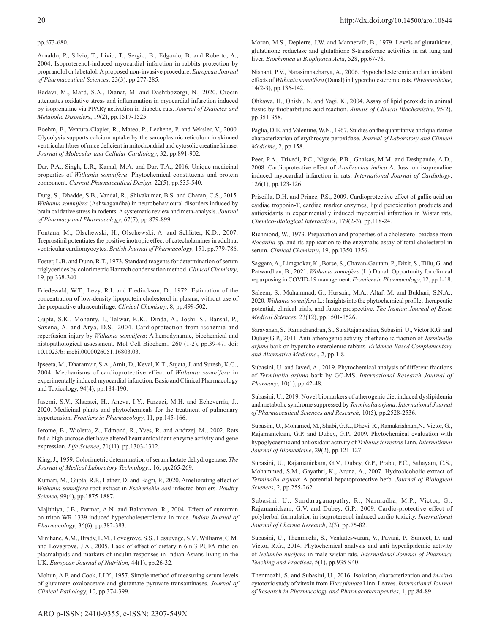#### pp.673-680.

Arnaldo, P., Silvio, T., Livio, T., Sergio, B., Edgardo, B. and Roberto, A., 2004. Isoproterenol-induced myocardial infarction in rabbits protection by propranolol or labetalol: Aproposed non-invasive procedure. *European Journal of Pharmaceutical Sciences*, 23(3), pp.277-285.

Badavi, M., Mard, S.A., Dianat, M. and Dashtbozorgi, N., 2020. Crocin attenuates oxidative stress and inflammation in myocardial infarction induced by isoprenaline via PPARγ activation in diabetic rats. *Journal of Diabetes and Metabolic Disorders*, 19(2), pp.1517-1525.

Boehm, E., Ventura-Clapier, R., Mateo, P., Lechene, P. and Veksler, V., 2000. Glycolysis supports calcium uptake by the sarcoplasmic reticulum in skinned ventricular fibres of mice deficient in mitochondrial and cytosolic creatine kinase. *Journal of Molecular and Cellular Cardiology*, 32, pp.891-902.

Dar, P.A., Singh, L.R., Kamal, M.A. and Dar, T.A., 2016. Unique medicinal properties of *Withania somnifera*: Phytochemical constituents and protein component. *Current Pharmaceutical Design*, 22(5), pp.535-540.

Durg, S., Dhadde, S.B., Vandal, R., Shivakumar, B.S. and Charan, C.S., 2015. *Withania somnifera* (Ashwagandha) in neurobehavioural disorders induced by brain oxidative stress in rodents: Asystematic review and meta-analysis. *Journal of Pharmacy and Pharmacology*, 67(7), pp.879-899.

Fontana, M., Olschewski, H., Olschewski, A. and Schlüter, K.D., 2007. Treprostinil potentiates the positive inotropic effect of catecholamines in adult rat ventricular cardiomyocytes. *British Journal of Pharmacology*, 151, pp.779-786.

Foster, L.B. and Dunn, R.T., 1973. Standard reagents for determination of serum triglycerides by colorimetric Hantzch condensation method. *Clinical Chemistry*, 19, pp.338-340.

Friedewald, W.T., Levy, R.I. and Fredirckson, D., 1972. Estimation of the concentration of low-density lipoprotein cholesterol in plasma, without use of the preparative ultracentrifuge. *Clinical Chemistry*, 8, pp.499-502.

Gupta, S.K., Mohanty, I., Talwar, K.K., Dinda, A., Joshi, S., Bansal, P., Saxena, A. and Arya, D.S., 2004. Cardioprotection from ischemia and reperfusion injury by *Withania somnifera*: A hemodynamic, biochemical and histopathological assessment. Mol Cell Biochem., 260 (1-2), pp.39-47. doi: 10.1023/b: mcbi.0000026051.16803.03.

Ipseeta, M., Dharamvir, S.A., Amit, D., Keval, K.T., Sujata, J. and Suresh, K.G., 2004. Mechanisms of cardioprotective effect of *Withania somnifera* in experimentally induced myocardial infarction. Basic and Clinical Pharmacology and Toxicology, 94(4), pp.184-190.

Jasemi, S.V., Khazaei, H., Aneva, I.Y., Farzaei, M.H. and Echeverría, J., 2020. Medicinal plants and phytochemicals for the treatment of pulmonary hypertension. *Frontiers in Pharmacology*, 11, pp.145-166.

Jerome, B., Wioletta, Z., Edmond, R., Yves, R. and Andrzej, M., 2002. Rats fed a high sucrose diet have altered heart antioxidant enzyme activity and gene expression. *Life Science*, 71(11), pp.1303-1312.

King, J., 1959. Colorimetric determination of serum lactate dehydrogenase. *The Journal of Medical Laboratory Technology*., 16, pp.265-269.

Kumari, M., Gupta, R.P., Lather, D. and Bagri, P., 2020. Ameliorating effect of *Withania somnifera* root extract in *Escherichia coli*-infected broilers. *Poultry Science*, 99(4), pp.1875-1887.

Majithiya, J.B., Parmar, A.N. and Balaraman, R., 2004. Effect of curcumin on triton WR 1339 induced hypercholesterolemia in mice. *Indian Journal of Pharmacology*, 36(6), pp.382-383.

Minihane, A.M., Brady, L.M., Lovegrove, S.S., Lesauvage, S.V., Williams, C.M. and Lovegrove, J.A., 2005. Lack of effect of dietary n-6:n-3 PUFA ratio on plasmalipids and markers of insulin responses in Indian Asians living in the UK. *European Journal of Nutrition*, 44(1), pp.26-32.

Mohun, A.F. and Cook, I.J.Y., 1957. Simple method of measuring serum levels of glutamate oxaloacetate and glutamate pyruvate transaminases. *Journal of Clinical Patholog*y, 10, pp.374-399.

Moron, M.S., Depierre, J.W. and Mannervik, B., 1979. Levels of glutathione, glutathione reductase and glutathione S-transferase activities in rat lung and liver. *Biochimica et Biophysica Acta*, 528, pp.67-78.

Nishant, P.V., Narasimhacharya, A., 2006. Hypocholesteremic and antioxidant effects of *Withania somnifera* (Dunal) in hypercholesteremic rats. *Phytomedicine*, 14(2-3), pp.136-142.

Ohkawa, H., Ohishi, N. and Yagi, K., 2004. Assay of lipid peroxide in animal tissue by thiobarbituric acid reaction. *Annals of Clinical Biochemistry*, 95(2), pp.351-358.

Paglia, D.E. and Valentine, W.N., 1967. Studies on the quantitative and qualitative characterization of erythrocyte peroxidase. *Journal of Laboratory and Clinical Medicine*, 2, pp.158.

Peer, P.A., Trivedi, P.C., Nigade, P.B., Ghaisas, M.M. and Deshpande, A.D., 2008. Cardioprotective effect of *Azadirachta indica* A. Juss. on isoprenaline induced myocardial infarction in rats. *International Journal of Cardiology*, 126(1), pp.123-126.

Priscilla, D.H. and Prince, P.S., 2009. Cardioprotective effect of gallic acid on cardiac troponin-T, cardiac marker enzymes, lipid peroxidation products and antioxidants in experimentally induced myocardial infarction in Wistar rats. *Chemico-Biological Interactions*, 179(2-3), pp.118-24.

Richmond, W., 1973. Preparation and properties of a cholesterol oxidase from *Nocardia* sp. and its application to the enzymatic assay of total cholesterol in serum. *Clinical Chemistry*, 19, pp.1350-1356.

Saggam, A., Limgaokar, K., Borse, S., Chavan-Gautam, P., Dixit, S., Tillu, G. and Patwardhan, B., 2021. *Withania somnifera* (L.) Dunal: Opportunity for clinical repurposing in COVID-19 management. *Frontiers in Pharmacology*, 12, pp.1-18.

Saleem, S., Muhammad, G., Hussain, M.A., Altaf, M. and Bukhari, S.N.A., 2020. *Withania somnifera* L.: Insights into the phytochemical profile, therapeutic potential, clinical trials, and future prospective. *The Iranian Journal of Basic Medical Sciences*, 23(12), pp.1501-1526.

Saravanan, S., Ramachandran, S., SujaRajapandian, Subasini, U., Victor R.G. and Dubey,G.P., 2011. Anti-atherogenic activity of ethanolic fraction of *Terminalia arjuna* bark on hypercholesterolemic rabbits. *Evidence-Based Complementary and Alternative Medicine*., 2, pp.1-8.

Subasini, U. and Javed, A., 2019. Phytochemical analysis of different fractions of *Terminalia arjuna* bark by GC-MS. *International Research Journal of Pharmacy*, 10(1), pp.42-48.

Subasini, U., 2019. Novel biomarkers of atherogenic diet induced dyslipidemia and metabolic syndrome suppressed by *Terminalia arjuna*. *International Journal of Pharmaceutical Sciences and Research*, 10(5), pp.2528-2536.

Subasini, U., Mohamed, M., Shabi, G.K., Dhevi, R., Ramakrishnan,N., Victor, G., Rajamanickam, G.P. and Dubey, G.P., 2009. Phytochemical evaluation with hypoglycaemic and antioxidant activity of *Tribulus terrestris* Linn. *International Journal of Biomedicine*, 29(2), pp.121-127.

Subasini, U., Rajamanickam, G.V., Dubey, G.P., Prabu, P.C., Sahayam, C.S., Mohammed, S.M., Gayathri, K., Aruna, A., 2007. Hydroalcoholic extract of *Terminalia arjuna*: A potential hepatoprotective herb. *Journal of Biological Sciences*, 2, pp.255-262.

Subasini, U., Sundaraganapathy, R., Narmadha, M.P., Victor, G., Rajamanickam, G.V. and Dubey, G.P., 2009. Cardio-protective effect of polyherbal formulation in isoproterenol induced cardio toxicity. *International Journal of Pharma Research*, 2(3), pp.75-82.

Subasini, U., Thenmozhi, S., Venkateswaran, V., Pavani, P., Sumeet, D. and Victor, R.G., 2014. Phytochemical analysis and anti hyperlipidemic activity of *Nelumbo nucifera* in male wistar rats. *International Journal of Pharmacy Teaching and Practices*, 5(1), pp.935-940.

Thenmozhi, S. and Subasini, U., 2016. Isolation, characterization and *in-vitro* cytotoxic study of vitexin from *Vitex pinnata* Linn. Leaves. *International Journal of Research in Pharmacology and Pharmacotherapeutics*, 1, pp.84-89.